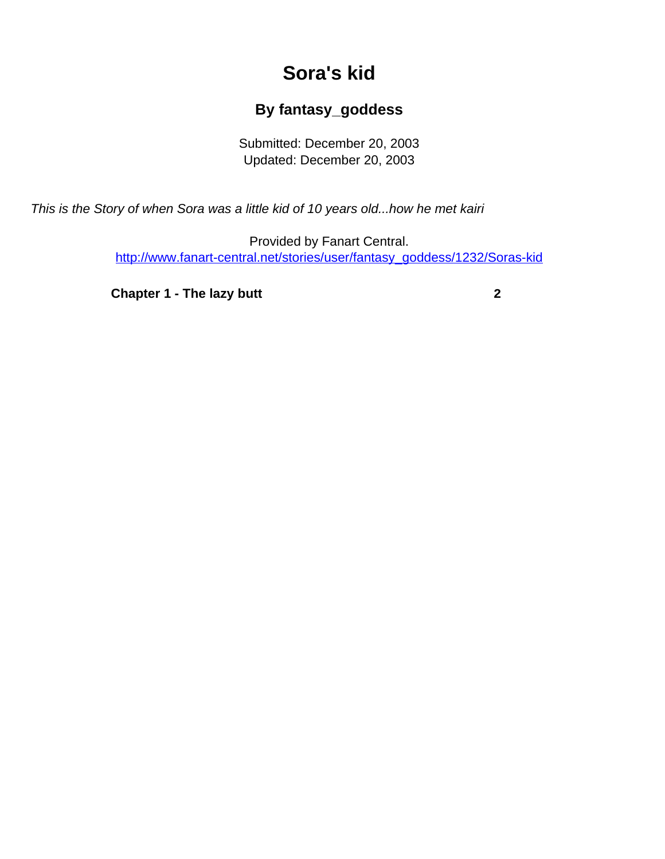## **Sora's kid**

## **By fantasy\_goddess**

Submitted: December 20, 2003 Updated: December 20, 2003

<span id="page-0-0"></span>This is the Story of when Sora was a little kid of 10 years old...how he met kairi

Provided by Fanart Central. [http://www.fanart-central.net/stories/user/fantasy\\_goddess/1232/Soras-kid](#page-0-0)

**[Chapter 1 - The lazy butt](#page-1-0)** [2](#page-1-0)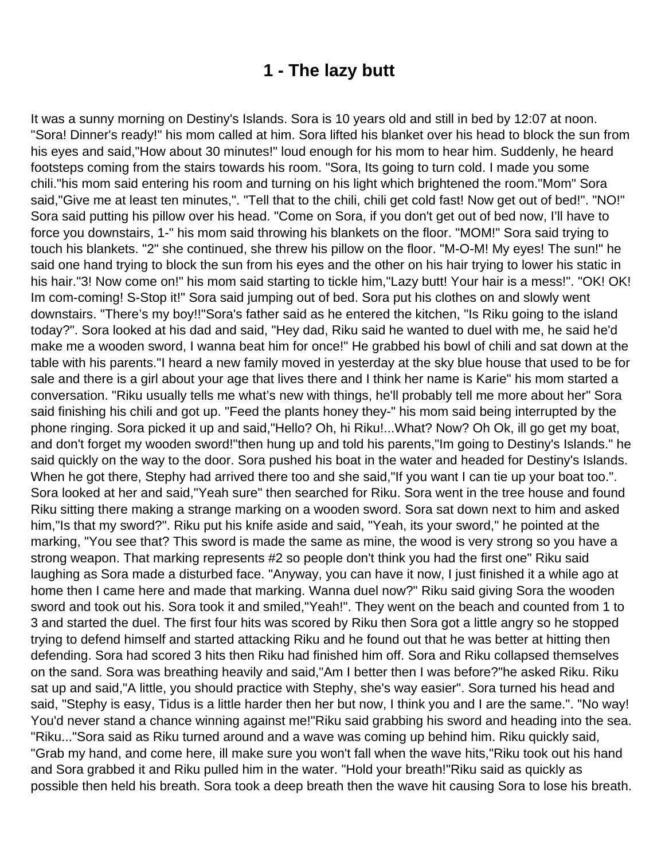## **1 - The lazy butt**

<span id="page-1-0"></span>It was a sunny morning on Destiny's Islands. Sora is 10 years old and still in bed by 12:07 at noon. "Sora! Dinner's ready!" his mom called at him. Sora lifted his blanket over his head to block the sun from his eyes and said,"How about 30 minutes!" loud enough for his mom to hear him. Suddenly, he heard footsteps coming from the stairs towards his room. "Sora, Its going to turn cold. I made you some chili."his mom said entering his room and turning on his light which brightened the room."Mom" Sora said,"Give me at least ten minutes,". "Tell that to the chili, chili get cold fast! Now get out of bed!". "NO!" Sora said putting his pillow over his head. "Come on Sora, if you don't get out of bed now, I'll have to force you downstairs, 1-" his mom said throwing his blankets on the floor. "MOM!" Sora said trying to touch his blankets. "2" she continued, she threw his pillow on the floor. "M-O-M! My eyes! The sun!" he said one hand trying to block the sun from his eyes and the other on his hair trying to lower his static in his hair."3! Now come on!" his mom said starting to tickle him,"Lazy butt! Your hair is a mess!". "OK! OK! Im com-coming! S-Stop it!" Sora said jumping out of bed. Sora put his clothes on and slowly went downstairs. "There's my boy!!"Sora's father said as he entered the kitchen, "Is Riku going to the island today?". Sora looked at his dad and said, "Hey dad, Riku said he wanted to duel with me, he said he'd make me a wooden sword, I wanna beat him for once!" He grabbed his bowl of chili and sat down at the table with his parents."I heard a new family moved in yesterday at the sky blue house that used to be for sale and there is a girl about your age that lives there and I think her name is Karie" his mom started a conversation. "Riku usually tells me what's new with things, he'll probably tell me more about her" Sora said finishing his chili and got up. "Feed the plants honey they-" his mom said being interrupted by the phone ringing. Sora picked it up and said,"Hello? Oh, hi Riku!...What? Now? Oh Ok, ill go get my boat, and don't forget my wooden sword!"then hung up and told his parents,"Im going to Destiny's Islands." he said quickly on the way to the door. Sora pushed his boat in the water and headed for Destiny's Islands. When he got there, Stephy had arrived there too and she said,"If you want I can tie up your boat too.". Sora looked at her and said,"Yeah sure" then searched for Riku. Sora went in the tree house and found Riku sitting there making a strange marking on a wooden sword. Sora sat down next to him and asked him,"Is that my sword?". Riku put his knife aside and said, "Yeah, its your sword," he pointed at the marking, "You see that? This sword is made the same as mine, the wood is very strong so you have a strong weapon. That marking represents #2 so people don't think you had the first one" Riku said laughing as Sora made a disturbed face. "Anyway, you can have it now, I just finished it a while ago at home then I came here and made that marking. Wanna duel now?" Riku said giving Sora the wooden sword and took out his. Sora took it and smiled,"Yeah!". They went on the beach and counted from 1 to 3 and started the duel. The first four hits was scored by Riku then Sora got a little angry so he stopped trying to defend himself and started attacking Riku and he found out that he was better at hitting then defending. Sora had scored 3 hits then Riku had finished him off. Sora and Riku collapsed themselves on the sand. Sora was breathing heavily and said,"Am I better then I was before?"he asked Riku. Riku sat up and said,"A little, you should practice with Stephy, she's way easier". Sora turned his head and said, "Stephy is easy, Tidus is a little harder then her but now, I think you and I are the same.". "No way! You'd never stand a chance winning against me!"Riku said grabbing his sword and heading into the sea. "Riku..."Sora said as Riku turned around and a wave was coming up behind him. Riku quickly said, "Grab my hand, and come here, ill make sure you won't fall when the wave hits,"Riku took out his hand and Sora grabbed it and Riku pulled him in the water. "Hold your breath!"Riku said as quickly as possible then held his breath. Sora took a deep breath then the wave hit causing Sora to lose his breath.